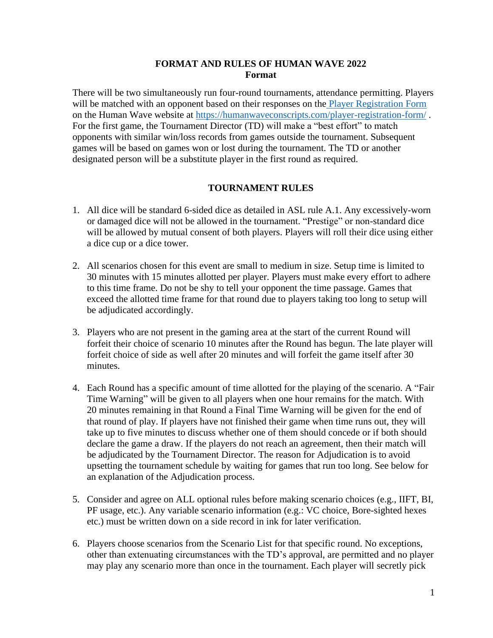### **FORMAT AND RULES OF HUMAN WAVE 2022 Format**

There will be two simultaneously run four-round tournaments, attendance permitting. Players will be matched with an opponent based on their responses on the [Player Registration](https://humanwaveconscripts.com/player-registration-form/) Form on the Human Wave website at<https://humanwaveconscripts.com/player-registration-form/> . For the first game, the Tournament Director (TD) will make a "best effort" to match opponents with similar win/loss records from games outside the tournament. Subsequent games will be based on games won or lost during the tournament. The TD or another designated person will be a substitute player in the first round as required.

## **TOURNAMENT RULES**

- 1. All dice will be standard 6-sided dice as detailed in ASL rule A.1. Any excessively-worn or damaged dice will not be allowed in the tournament. "Prestige" or non-standard dice will be allowed by mutual consent of both players. Players will roll their dice using either a dice cup or a dice tower.
- 2. All scenarios chosen for this event are small to medium in size. Setup time is limited to 30 minutes with 15 minutes allotted per player. Players must make every effort to adhere to this time frame. Do not be shy to tell your opponent the time passage. Games that exceed the allotted time frame for that round due to players taking too long to setup will be adjudicated accordingly.
- 3. Players who are not present in the gaming area at the start of the current Round will forfeit their choice of scenario 10 minutes after the Round has begun. The late player will forfeit choice of side as well after 20 minutes and will forfeit the game itself after 30 minutes.
- 4. Each Round has a specific amount of time allotted for the playing of the scenario. A "Fair Time Warning" will be given to all players when one hour remains for the match. With 20 minutes remaining in that Round a Final Time Warning will be given for the end of that round of play. If players have not finished their game when time runs out, they will take up to five minutes to discuss whether one of them should concede or if both should declare the game a draw. If the players do not reach an agreement, then their match will be adjudicated by the Tournament Director. The reason for Adjudication is to avoid upsetting the tournament schedule by waiting for games that run too long. See below for an explanation of the Adjudication process.
- 5. Consider and agree on ALL optional rules before making scenario choices (e.g., IIFT, BI, PF usage, etc.). Any variable scenario information (e.g.: VC choice, Bore-sighted hexes etc.) must be written down on a side record in ink for later verification.
- 6. Players choose scenarios from the Scenario List for that specific round. No exceptions, other than extenuating circumstances with the TD's approval, are permitted and no player may play any scenario more than once in the tournament. Each player will secretly pick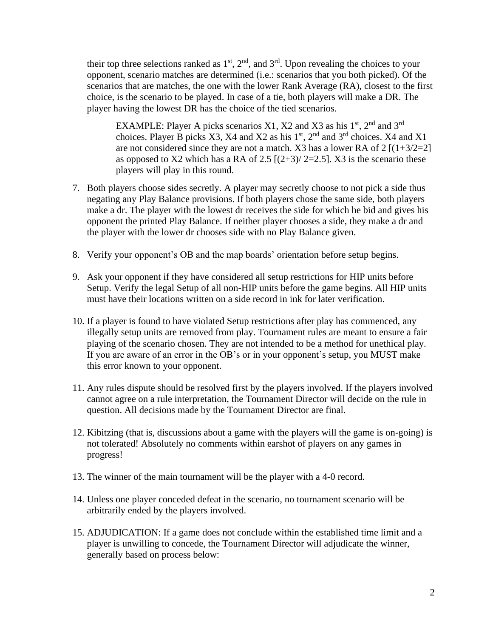their top three selections ranked as  $1<sup>st</sup>$ ,  $2<sup>nd</sup>$ , and  $3<sup>rd</sup>$ . Upon revealing the choices to your opponent, scenario matches are determined (i.e.: scenarios that you both picked). Of the scenarios that are matches, the one with the lower Rank Average (RA), closest to the first choice, is the scenario to be played. In case of a tie, both players will make a DR. The player having the lowest DR has the choice of the tied scenarios.

EXAMPLE: Player A picks scenarios X1, X2 and X3 as his  $1<sup>st</sup>$ ,  $2<sup>nd</sup>$  and  $3<sup>rd</sup>$ choices. Player B picks X3, X4 and X2 as his  $1<sup>st</sup>$ ,  $2<sup>nd</sup>$  and  $3<sup>rd</sup>$  choices. X4 and X1 are not considered since they are not a match. X3 has a lower RA of  $2 \left[ (1+3/2=2) \right]$ as opposed to X2 which has a RA of 2.5  $[(2+3)/2=2.5]$ . X3 is the scenario these players will play in this round.

- 7. Both players choose sides secretly. A player may secretly choose to not pick a side thus negating any Play Balance provisions. If both players chose the same side, both players make a dr. The player with the lowest dr receives the side for which he bid and gives his opponent the printed Play Balance. If neither player chooses a side, they make a dr and the player with the lower dr chooses side with no Play Balance given.
- 8. Verify your opponent's OB and the map boards' orientation before setup begins.
- 9. Ask your opponent if they have considered all setup restrictions for HIP units before Setup. Verify the legal Setup of all non-HIP units before the game begins. All HIP units must have their locations written on a side record in ink for later verification.
- 10. If a player is found to have violated Setup restrictions after play has commenced, any illegally setup units are removed from play. Tournament rules are meant to ensure a fair playing of the scenario chosen. They are not intended to be a method for unethical play. If you are aware of an error in the OB's or in your opponent's setup, you MUST make this error known to your opponent.
- 11. Any rules dispute should be resolved first by the players involved. If the players involved cannot agree on a rule interpretation, the Tournament Director will decide on the rule in question. All decisions made by the Tournament Director are final.
- 12. Kibitzing (that is, discussions about a game with the players will the game is on-going) is not tolerated! Absolutely no comments within earshot of players on any games in progress!
- 13. The winner of the main tournament will be the player with a 4-0 record.
- 14. Unless one player conceded defeat in the scenario, no tournament scenario will be arbitrarily ended by the players involved.
- 15. ADJUDICATION: If a game does not conclude within the established time limit and a player is unwilling to concede, the Tournament Director will adjudicate the winner, generally based on process below: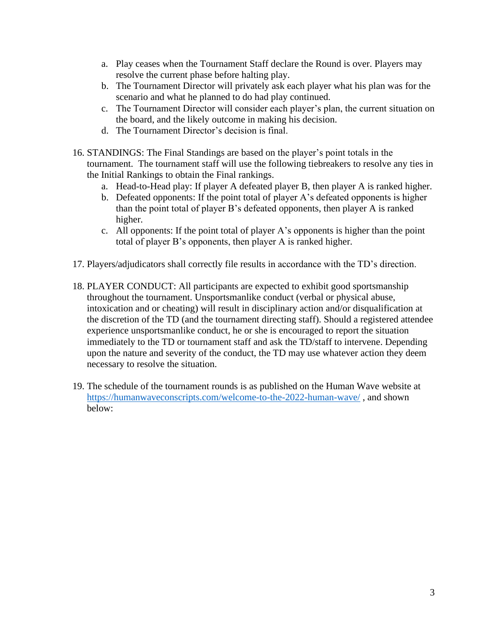- a. Play ceases when the Tournament Staff declare the Round is over. Players may resolve the current phase before halting play.
- b. The Tournament Director will privately ask each player what his plan was for the scenario and what he planned to do had play continued.
- c. The Tournament Director will consider each player's plan, the current situation on the board, and the likely outcome in making his decision.
- d. The Tournament Director's decision is final.
- 16. STANDINGS: The Final Standings are based on the player's point totals in the tournament. The tournament staff will use the following tiebreakers to resolve any ties in the Initial Rankings to obtain the Final rankings.
	- a. Head-to-Head play: If player A defeated player B, then player A is ranked higher.
	- b. Defeated opponents: If the point total of player A's defeated opponents is higher than the point total of player B's defeated opponents, then player A is ranked higher.
	- c. All opponents: If the point total of player A's opponents is higher than the point total of player B's opponents, then player A is ranked higher.
- 17. Players/adjudicators shall correctly file results in accordance with the TD's direction.
- 18. PLAYER CONDUCT: All participants are expected to exhibit good sportsmanship throughout the tournament. Unsportsmanlike conduct (verbal or physical abuse, intoxication and or cheating) will result in disciplinary action and/or disqualification at the discretion of the TD (and the tournament directing staff). Should a registered attendee experience unsportsmanlike conduct, he or she is encouraged to report the situation immediately to the TD or tournament staff and ask the TD/staff to intervene. Depending upon the nature and severity of the conduct, the TD may use whatever action they deem necessary to resolve the situation.
- 19. The schedule of the tournament rounds is as published on the Human Wave website at <https://humanwaveconscripts.com/welcome-to-the-2022-human-wave/> , and shown below: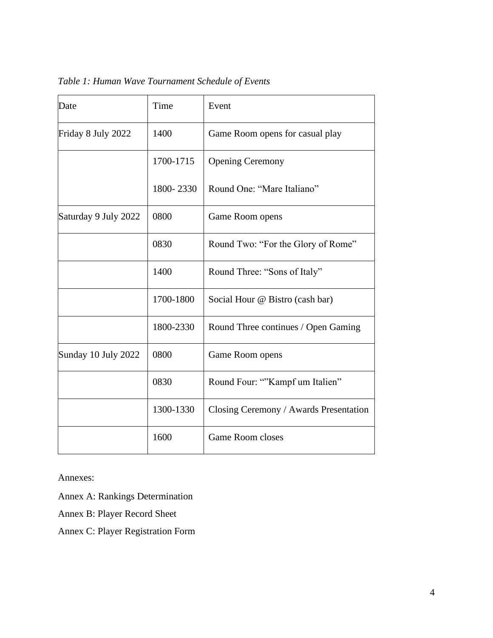| Date                 | Time      | Event                                  |  |  |  |
|----------------------|-----------|----------------------------------------|--|--|--|
| Friday 8 July 2022   | 1400      | Game Room opens for casual play        |  |  |  |
|                      | 1700-1715 | <b>Opening Ceremony</b>                |  |  |  |
|                      | 1800-2330 | Round One: "Mare Italiano"             |  |  |  |
| Saturday 9 July 2022 | 0800      | Game Room opens                        |  |  |  |
|                      | 0830      | Round Two: "For the Glory of Rome"     |  |  |  |
|                      | 1400      | Round Three: "Sons of Italy"           |  |  |  |
|                      | 1700-1800 | Social Hour @ Bistro (cash bar)        |  |  |  |
|                      | 1800-2330 | Round Three continues / Open Gaming    |  |  |  |
| Sunday 10 July 2022  | 0800      | Game Room opens                        |  |  |  |
|                      | 0830      | Round Four: ""Kampf um Italien"        |  |  |  |
|                      | 1300-1330 | Closing Ceremony / Awards Presentation |  |  |  |
|                      | 1600      | <b>Game Room closes</b>                |  |  |  |

*Table 1: Human Wave Tournament Schedule of Events*

Annexes:

Annex A: Rankings Determination

Annex B: Player Record Sheet

Annex C: Player Registration Form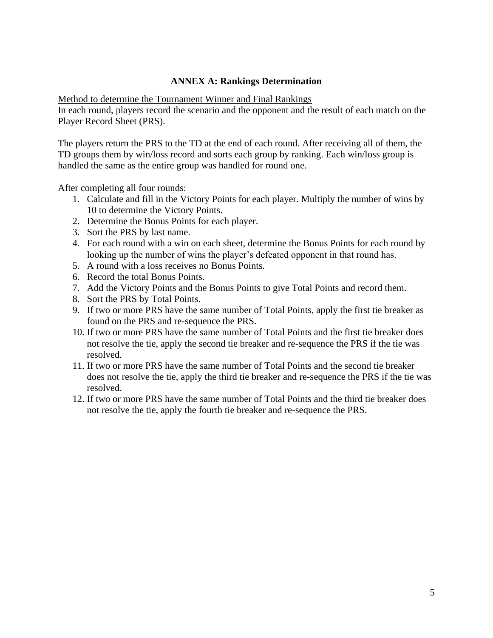# **ANNEX A: Rankings Determination**

Method to determine the Tournament Winner and Final Rankings

In each round, players record the scenario and the opponent and the result of each match on the Player Record Sheet (PRS).

The players return the PRS to the TD at the end of each round. After receiving all of them, the TD groups them by win/loss record and sorts each group by ranking. Each win/loss group is handled the same as the entire group was handled for round one.

After completing all four rounds:

- 1. Calculate and fill in the Victory Points for each player. Multiply the number of wins by 10 to determine the Victory Points.
- 2. Determine the Bonus Points for each player.
- 3. Sort the PRS by last name.
- 4. For each round with a win on each sheet, determine the Bonus Points for each round by looking up the number of wins the player's defeated opponent in that round has.
- 5. A round with a loss receives no Bonus Points.
- 6. Record the total Bonus Points.
- 7. Add the Victory Points and the Bonus Points to give Total Points and record them.
- 8. Sort the PRS by Total Points.
- 9. If two or more PRS have the same number of Total Points, apply the first tie breaker as found on the PRS and re-sequence the PRS.
- 10. If two or more PRS have the same number of Total Points and the first tie breaker does not resolve the tie, apply the second tie breaker and re-sequence the PRS if the tie was resolved.
- 11. If two or more PRS have the same number of Total Points and the second tie breaker does not resolve the tie, apply the third tie breaker and re-sequence the PRS if the tie was resolved.
- 12. If two or more PRS have the same number of Total Points and the third tie breaker does not resolve the tie, apply the fourth tie breaker and re-sequence the PRS.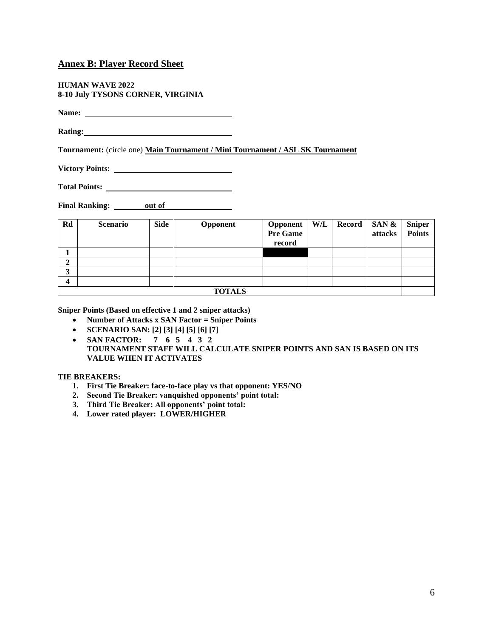### **Annex B: Player Record Sheet**

**HUMAN WAVE 2022 8-10 July TYSONS CORNER, VIRGINIA**

**Name:** 

**Rating:**

**Tournament:** (circle one) **Main Tournament / Mini Tournament / ASL SK Tournament**

**Victory Points:** 

**Total Points:** 

**Final Ranking:** out of *CON* 

| Rd            | <b>Scenario</b> | <b>Side</b> | Opponent | <b>Opponent</b><br>Pre Game<br>record |  |  | $W/L$ Record SAN &<br>attacks | <b>Sniper</b><br><b>Points</b> |
|---------------|-----------------|-------------|----------|---------------------------------------|--|--|-------------------------------|--------------------------------|
|               |                 |             |          |                                       |  |  |                               |                                |
| ◠<br>◢        |                 |             |          |                                       |  |  |                               |                                |
| 3             |                 |             |          |                                       |  |  |                               |                                |
| 4             |                 |             |          |                                       |  |  |                               |                                |
| <b>TOTALS</b> |                 |             |          |                                       |  |  |                               |                                |

**Sniper Points (Based on effective 1 and 2 sniper attacks)**

- **Number of Attacks x SAN Factor = Sniper Points**
- **SCENARIO SAN: [2] [3] [4] [5] [6] [7]**
- **SAN FACTOR: 7 6 5 4 3 2 TOURNAMENT STAFF WILL CALCULATE SNIPER POINTS AND SAN IS BASED ON ITS VALUE WHEN IT ACTIVATES**

### **TIE BREAKERS:**

- **1. First Tie Breaker: face-to-face play vs that opponent: YES/NO**
- **2. Second Tie Breaker: vanquished opponents' point total:**
- **3. Third Tie Breaker: All opponents' point total:**
- **4. Lower rated player: LOWER/HIGHER**